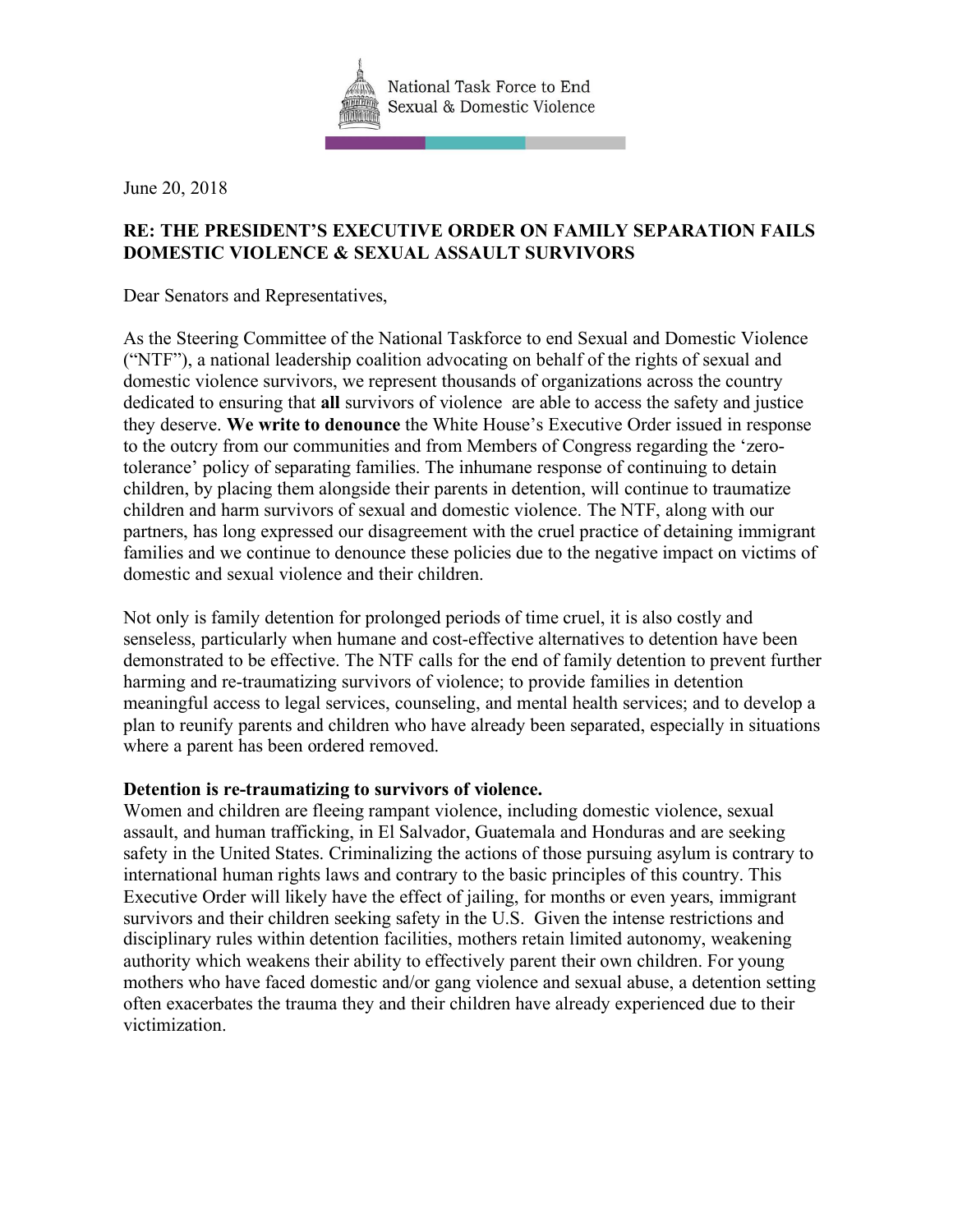

June 20, 2018

## **RE: THE PRESIDENT'S EXECUTIVE ORDER ON FAMILY SEPARATION FAILS DOMESTIC VIOLENCE & SEXUAL ASSAULT SURVIVORS**

Dear Senators and Representatives,

As the Steering Committee of the National Taskforce to end Sexual and Domestic Violence ("NTF"), a national leadership coalition advocating on behalf of the rights of sexual and domestic violence survivors, we represent thousands of organizations across the country dedicated to ensuring that **all** survivors of violence are able to access the safety and justice they deserve. **We write to denounce** the White House's Executive Order issued in response to the outcry from our communities and from Members of Congress regarding the 'zerotolerance' policy of separating families. The inhumane response of continuing to detain children, by placing them alongside their parents in detention, will continue to traumatize children and harm survivors of sexual and domestic violence. The NTF, along with our partners, has long expressed our disagreement with the cruel practice of detaining immigrant families and we continue to denounce these policies due to the negative impact on victims of domestic and sexual violence and their children.

Not only is family detention for prolonged periods of time cruel, it is also costly and senseless, particularly when humane and cost-effective alternatives to detention have been demonstrated to be effective. The NTF calls for the end of family detention to prevent further harming and re-traumatizing survivors of violence; to provide families in detention meaningful access to legal services, counseling, and mental health services; and to develop a plan to reunify parents and children who have already been separated, especially in situations where a parent has been ordered removed.

## **Detention is re-traumatizing to survivors of violence.**

Women and children are fleeing rampant violence, including domestic violence, sexual assault, and human trafficking, in El Salvador, Guatemala and Honduras and are seeking safety in the United States. Criminalizing the actions of those pursuing asylum is contrary to international human rights laws and contrary to the basic principles of this country. This Executive Order will likely have the effect of jailing, for months or even years, immigrant survivors and their children seeking safety in the U.S. Given the intense restrictions and disciplinary rules within detention facilities, mothers retain limited autonomy, weakening authority which weakens their ability to effectively parent their own children. For young mothers who have faced domestic and/or gang violence and sexual abuse, a detention setting often exacerbates the trauma they and their children have already experienced due to their victimization.